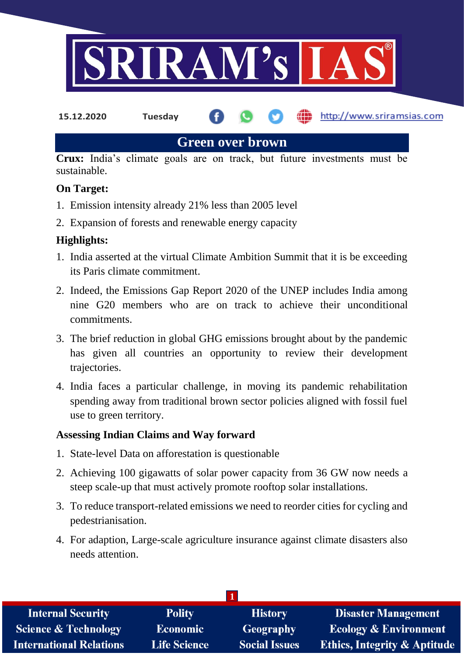

**15.12.2020 Tuesday**

**fin** http://www.sriramsias.com

**Green over brown**

**Crux:** India's climate goals are on track, but future investments must be sustainable.

### **On Target:**

- 1. Emission intensity already 21% less than 2005 level
- 2. Expansion of forests and renewable energy capacity

### **Highlights:**

- 1. India asserted at the virtual Climate Ambition Summit that it is be exceeding its Paris climate commitment.
- 2. Indeed, the Emissions Gap Report 2020 of the UNEP includes India among nine G20 members who are on track to achieve their unconditional commitments.
- 3. The brief reduction in global GHG emissions brought about by the pandemic has given all countries an opportunity to review their development trajectories.
- 4. India faces a particular challenge, in moving its pandemic rehabilitation spending away from traditional brown sector policies aligned with fossil fuel use to green territory.

#### **Assessing Indian Claims and Way forward**

- 1. State-level Data on afforestation is questionable
- 2. Achieving 100 gigawatts of solar power capacity from 36 GW now needs a steep scale-up that must actively promote rooftop solar installations.
- 3. To reduce transport-related emissions we need to reorder cities for cycling and pedestrianisation.
- 4. For adaption, Large-scale agriculture insurance against climate disasters also needs attention.

| <b>Internal Security</b>        | <b>Polity</b>       | <b>History</b>       | <b>Disaster Management</b>              |
|---------------------------------|---------------------|----------------------|-----------------------------------------|
| <b>Science &amp; Technology</b> | <b>Economic</b>     | Geography            | <b>Ecology &amp; Environment</b>        |
| <b>International Relations</b>  | <b>Life Science</b> | <b>Social Issues</b> | <b>Ethics, Integrity &amp; Aptitude</b> |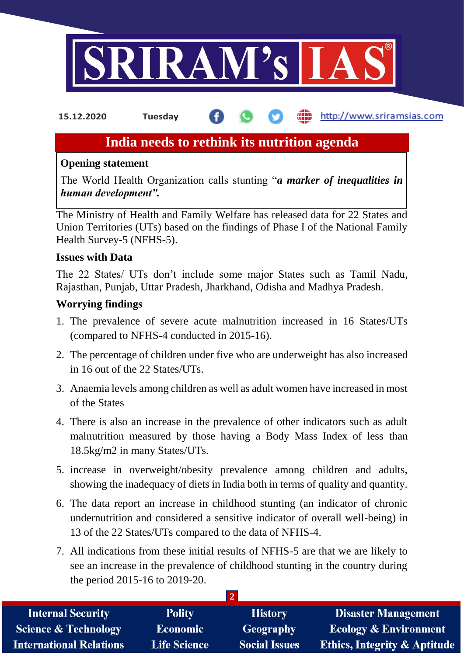

http://www.sriramsias.com **15.12.2020 Tuesday**

## **India needs to rethink its nutrition agenda**

#### **Opening statement**

The World Health Organization calls stunting "*a marker of inequalities in human development".*

The Ministry of Health and Family Welfare has released data for 22 States and Union Territories (UTs) based on the findings of Phase I of the National Family Health Survey-5 (NFHS-5).

#### **Issues with Data**

The 22 States/ UTs don't include some major States such as Tamil Nadu, Rajasthan, Punjab, Uttar Pradesh, Jharkhand, Odisha and Madhya Pradesh.

#### **Worrying findings**

- 1. The prevalence of severe acute malnutrition increased in 16 States/UTs (compared to NFHS-4 conducted in 2015-16).
- 2. The percentage of children under five who are underweight has also increased in 16 out of the 22 States/UTs.
- 3. Anaemia levels among children as well as adult women have increased in most of the States
- 4. There is also an increase in the prevalence of other indicators such as adult malnutrition measured by those having a Body Mass Index of less than 18.5kg/m2 in many States/UTs.
- 5. increase in overweight/obesity prevalence among children and adults, showing the inadequacy of diets in India both in terms of quality and quantity.
- 6. The data report an increase in childhood stunting (an indicator of chronic undernutrition and considered a sensitive indicator of overall well-being) in 13 of the 22 States/UTs compared to the data of NFHS-4.
- 7. All indications from these initial results of NFHS-5 are that we are likely to see an increase in the prevalence of childhood stunting in the country during the period 2015-16 to 2019-20.

| <b>Internal Security</b>        | <b>Polity</b>       | <b>History</b>       | <b>Disaster Management</b>              |  |  |
|---------------------------------|---------------------|----------------------|-----------------------------------------|--|--|
| <b>Science &amp; Technology</b> | <b>Economic</b>     | Geography            | <b>Ecology &amp; Environment</b>        |  |  |
| <b>International Relations</b>  | <b>Life Science</b> | <b>Social Issues</b> | <b>Ethics, Integrity &amp; Aptitude</b> |  |  |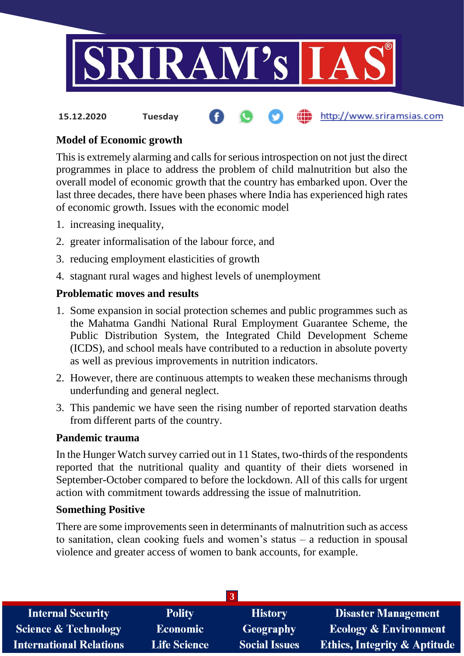

# **15.12.2020 Tuesday**

#### **Model of Economic growth**

This is extremely alarming and calls for serious introspection on not just the direct programmes in place to address the problem of child malnutrition but also the overall model of economic growth that the country has embarked upon. Over the last three decades, there have been phases where India has experienced high rates of economic growth. Issues with the economic model

- 1. increasing inequality,
- 2. greater informalisation of the labour force, and
- 3. reducing employment elasticities of growth
- 4. stagnant rural wages and highest levels of unemployment

#### **Problematic moves and results**

- 1. Some expansion in social protection schemes and public programmes such as the Mahatma Gandhi National Rural Employment Guarantee Scheme, the Public Distribution System, the Integrated Child Development Scheme (ICDS), and school meals have contributed to a reduction in absolute poverty as well as previous improvements in nutrition indicators.
- 2. However, there are continuous attempts to weaken these mechanisms through underfunding and general neglect.
- 3. This pandemic we have seen the rising number of reported starvation deaths from different parts of the country.

#### **Pandemic trauma**

In the Hunger Watch survey carried out in 11 States, two-thirds of the respondents reported that the nutritional quality and quantity of their diets worsened in September-October compared to before the lockdown. All of this calls for urgent action with commitment towards addressing the issue of malnutrition.

#### **Something Positive**

There are some improvements seen in determinants of malnutrition such as access to sanitation, clean cooking fuels and women's status – a reduction in spousal violence and greater access of women to bank accounts, for example.

| <b>Polity</b>       | <b>History</b>       | <b>Disaster Management</b>              |  |  |  |  |
|---------------------|----------------------|-----------------------------------------|--|--|--|--|
| <b>Economic</b>     | <b>Geography</b>     | <b>Ecology &amp; Environment</b>        |  |  |  |  |
| <b>Life Science</b> | <b>Social Issues</b> | <b>Ethics, Integrity &amp; Aptitude</b> |  |  |  |  |
|                     |                      |                                         |  |  |  |  |